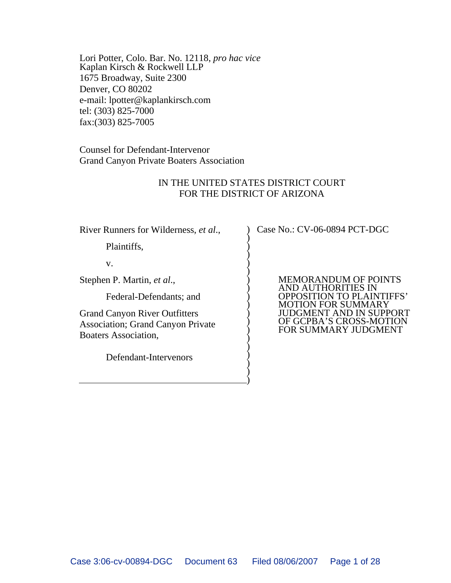Lori Potter, Colo. Bar. No. 12118, *pro hac vice* Kaplan Kirsch & Rockwell LLP 1675 Broadway, Suite 2300 Denver, CO 80202 e-mail: lpotter@kaplankirsch.com tel: (303) 825-7000 fax:(303) 825-7005

Counsel for Defendant-Intervenor Grand Canyon Private Boaters Association

### IN THE UNITED STATES DISTRICT COURT FOR THE DISTRICT OF ARIZONA

)  $\hat{)}$  $\big)$  $\big)$  $\hat{)}$  $\sum$  $\big)$  $\big)$  $\hat{)}$  $\sum$  $\big)$  $\big)$  $\hat{)}$  $\big)$  $\big)$  $\hat{)}$  $\sum$  $\big)$  $\big)$ 

River Runners for Wilderness, *et al*.,

Plaintiffs,

v.

Stephen P. Martin, *et al*.,

Federal-Defendants; and

Grand Canyon River Outfitters Association; Grand Canyon Private Boaters Association,

Defendant-Intervenors

Case No.: CV-06-0894 PCT-DGC

MEMORANDUM OF POINTS AND AUTHORITIES IN OPPOSITION TO PLAINTIFFS' MOTION FOR SUMMARY JUDGMENT AND IN SUPPORT OF GCPBA'S CROSS-MOTION FOR SUMMARY JUDGMENT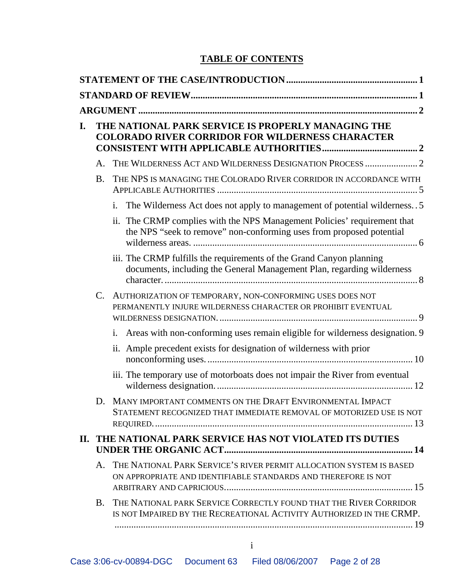## **TABLE OF CONTENTS**

| I. |           | THE NATIONAL PARK SERVICE IS PROPERLY MANAGING THE<br><b>COLORADO RIVER CORRIDOR FOR WILDERNESS CHARACTER</b>                                       |  |  |
|----|-----------|-----------------------------------------------------------------------------------------------------------------------------------------------------|--|--|
|    | A.        | THE WILDERNESS ACT AND WILDERNESS DESIGNATION PROCESS  2                                                                                            |  |  |
|    | <b>B.</b> | THE NPS IS MANAGING THE COLORADO RIVER CORRIDOR IN ACCORDANCE WITH                                                                                  |  |  |
|    |           | The Wilderness Act does not apply to management of potential wilderness. . 5<br>i.                                                                  |  |  |
|    |           | The CRMP complies with the NPS Management Policies' requirement that<br>11.<br>the NPS "seek to remove" non-conforming uses from proposed potential |  |  |
|    |           | iii. The CRMP fulfills the requirements of the Grand Canyon planning<br>documents, including the General Management Plan, regarding wilderness      |  |  |
|    | C.        | AUTHORIZATION OF TEMPORARY, NON-CONFORMING USES DOES NOT<br>PERMANENTLY INJURE WILDERNESS CHARACTER OR PROHIBIT EVENTUAL                            |  |  |
|    |           | Areas with non-conforming uses remain eligible for wilderness designation. 9<br>i.                                                                  |  |  |
|    |           | ii. Ample precedent exists for designation of wilderness with prior                                                                                 |  |  |
|    |           | iii. The temporary use of motorboats does not impair the River from eventual                                                                        |  |  |
|    | D.        | MANY IMPORTANT COMMENTS ON THE DRAFT ENVIRONMENTAL IMPACT<br>STATEMENT RECOGNIZED THAT IMMEDIATE REMOVAL OF MOTORIZED USE IS NOT                    |  |  |
|    |           | II. THE NATIONAL PARK SERVICE HAS NOT VIOLATED ITS DUTIES                                                                                           |  |  |
|    | A.        | THE NATIONAL PARK SERVICE'S RIVER PERMIT ALLOCATION SYSTEM IS BASED<br>ON APPROPRIATE AND IDENTIFIABLE STANDARDS AND THEREFORE IS NOT               |  |  |
|    | <b>B.</b> | THE NATIONAL PARK SERVICE CORRECTLY FOUND THAT THE RIVER CORRIDOR<br>IS NOT IMPAIRED BY THE RECREATIONAL ACTIVITY AUTHORIZED IN THE CRMP.           |  |  |
|    |           |                                                                                                                                                     |  |  |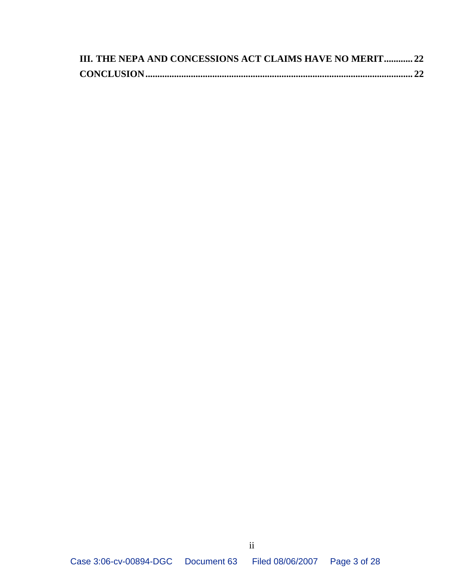| III. THE NEPA AND CONCESSIONS ACT CLAIMS HAVE NO MERIT 22 |  |
|-----------------------------------------------------------|--|
|                                                           |  |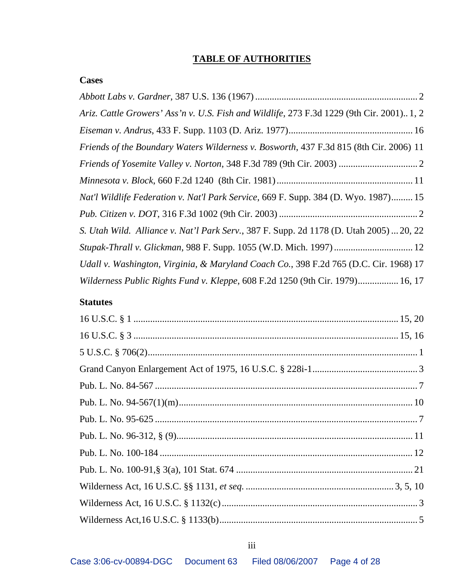### **TABLE OF AUTHORITIES**

### **Cases**

| Ariz. Cattle Growers' Ass'n v. U.S. Fish and Wildlife, 273 F.3d 1229 (9th Cir. 2001) 1, 2  |
|--------------------------------------------------------------------------------------------|
|                                                                                            |
| Friends of the Boundary Waters Wilderness v. Bosworth, 437 F.3d 815 (8th Cir. 2006) 11     |
| <i>Friends of Yosemite Valley v. Norton, 348 F.3d 789 (9th Cir. 2003) </i> 2               |
|                                                                                            |
| <i>Nat'l Wildlife Federation v. Nat'l Park Service, 669 F. Supp. 384 (D. Wyo. 1987) 15</i> |
|                                                                                            |
| S. Utah Wild. Alliance v. Nat'l Park Serv., 387 F. Supp. 2d 1178 (D. Utah 2005)  20, 22    |
|                                                                                            |
| Udall v. Washington, Virginia, & Maryland Coach Co., 398 F.2d 765 (D.C. Cir. 1968) 17      |
| Wilderness Public Rights Fund v. Kleppe, 608 F.2d 1250 (9th Cir. 1979) 16, 17              |

### **Statutes**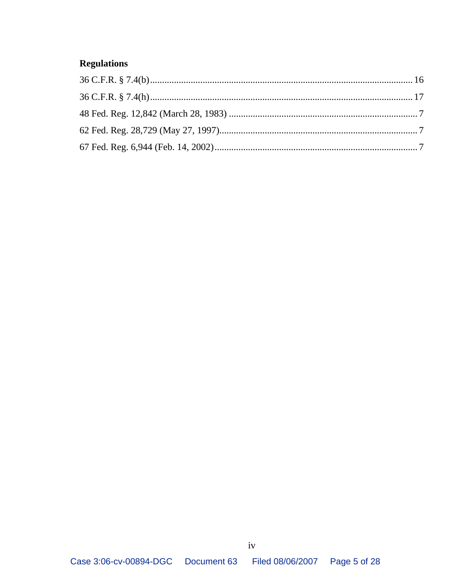# **Regulations**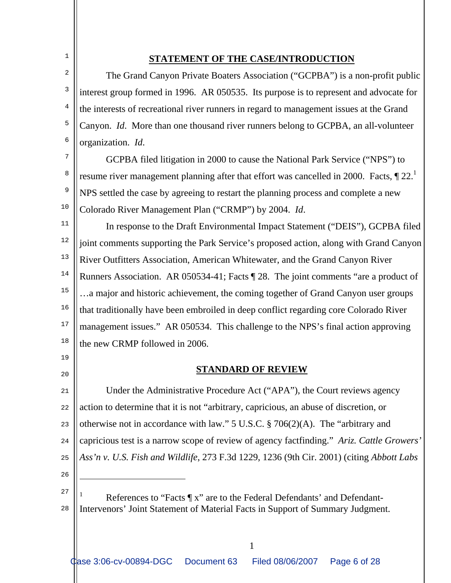### **STATEMENT OF THE CASE/INTRODUCTION**

 The Grand Canyon Private Boaters Association ("GCPBA") is a non-profit public interest group formed in 1996. AR 050535. Its purpose is to represent and advocate for the interests of recreational river runners in regard to management issues at the Grand Canyon. *Id*. More than one thousand river runners belong to GCPBA, an all-volunteer organization. *Id*.

 GCPBA filed litigation in 2000 to cause the National Park Service ("NPS") to resume river management planning after that effort was cancelled in 2000. Facts,  $\P$  22.<sup>1</sup> NPS settled the case by agreeing to restart the planning process and complete a new Colorado River Management Plan ("CRMP") by 2004. *Id*.

11 12 13 14 15 16 17 18 In response to the Draft Environmental Impact Statement ("DEIS"), GCPBA filed joint comments supporting the Park Service's proposed action, along with Grand Canyon River Outfitters Association, American Whitewater, and the Grand Canyon River Runners Association. AR 050534-41; Facts ¶ 28. The joint comments "are a product of …a major and historic achievement, the coming together of Grand Canyon user groups that traditionally have been embroiled in deep conflict regarding core Colorado River management issues." AR 050534. This challenge to the NPS's final action approving the new CRMP followed in 2006.

#### **STANDARD OF REVIEW**

21  $22$ 23 24 25 Under the Administrative Procedure Act ("APA"), the Court reviews agency action to determine that it is not "arbitrary, capricious, an abuse of discretion, or otherwise not in accordance with law." 5 U.S.C. § 706(2)(A). The "arbitrary and capricious test is a narrow scope of review of agency factfinding." *Ariz. Cattle Growers' Ass'n v. U.S. Fish and Wildlife*, 273 F.3d 1229, 1236 (9th Cir. 2001) (citing *Abbott Labs* 

26

i

19

 $20$ 

1

2

3

4

5

6

7

8

9

<sup>27</sup> 28 1 References to "Facts  $\P$  x" are to the Federal Defendants' and Defendant-Intervenors' Joint Statement of Material Facts in Support of Summary Judgment.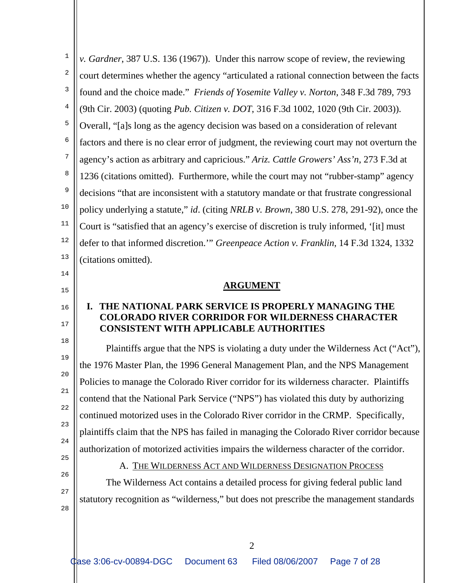| 1  | v. Gardner, 387 U.S. 136 (1967)). Under this narrow scope of review, the reviewing                            |
|----|---------------------------------------------------------------------------------------------------------------|
| 2  | court determines whether the agency "articulated a rational connection between the facts                      |
| 3  | found and the choice made." Friends of Yosemite Valley v. Norton, 348 F.3d 789, 793                           |
| 4  | (9th Cir. 2003) (quoting Pub. Citizen v. DOT, 316 F.3d 1002, 1020 (9th Cir. 2003)).                           |
| 5  | Overall, "[a]s long as the agency decision was based on a consideration of relevant                           |
| 6  | factors and there is no clear error of judgment, the reviewing court may not overturn the                     |
| 7  | agency's action as arbitrary and capricious." Ariz. Cattle Growers' Ass'n, 273 F.3d at                        |
| 8  | 1236 (citations omitted). Furthermore, while the court may not "rubber-stamp" agency                          |
| 9  | decisions "that are inconsistent with a statutory mandate or that frustrate congressional                     |
| 10 | policy underlying a statute," <i>id.</i> (citing <i>NRLB v. Brown</i> , 380 U.S. 278, 291-92), once the       |
| 11 | Court is "satisfied that an agency's exercise of discretion is truly informed, '[it] must                     |
| 12 | defer to that informed discretion." Greenpeace Action v. Franklin, 14 F.3d 1324, 1332                         |
| 13 | (citations omitted).                                                                                          |
| 14 |                                                                                                               |
| 15 | <b>ARGUMENT</b>                                                                                               |
| 16 | THE NATIONAL PARK SERVICE IS PROPERLY MANAGING THE<br><b>COLORADO RIVER CORRIDOR FOR WILDERNESS CHARACTER</b> |
| 17 | <b>CONSISTENT WITH APPLICABLE AUTHORITIES</b>                                                                 |
| 18 | Plaintiffs argue that the NPS is violating a duty under the Wilderness Act ("Act"),                           |
| 19 | the 1976 Master Plan, the 1996 General Management Plan, and the NPS Management                                |
| 20 | Policies to manage the Colorado River corridor for its wilderness character. Plaintiffs                       |
| 21 | contend that the National Park Service ("NPS") has violated this duty by authorizing                          |
| 22 | continued motorized uses in the Colorado River corridor in the CRMP. Specifically,                            |
| 23 | plaintiffs claim that the NPS has failed in managing the Colorado River corridor because                      |
| 24 | authorization of motorized activities impairs the wilderness character of the corridor.                       |
| 25 | A. THE WILDERNESS ACT AND WILDERNESS DESIGNATION PROCESS                                                      |
| 26 | The Wilderness Act contains a detailed process for giving federal public land                                 |
| 27 | statutory recognition as "wilderness," but does not prescribe the management standards                        |
| 28 |                                                                                                               |
|    | $\overline{2}$                                                                                                |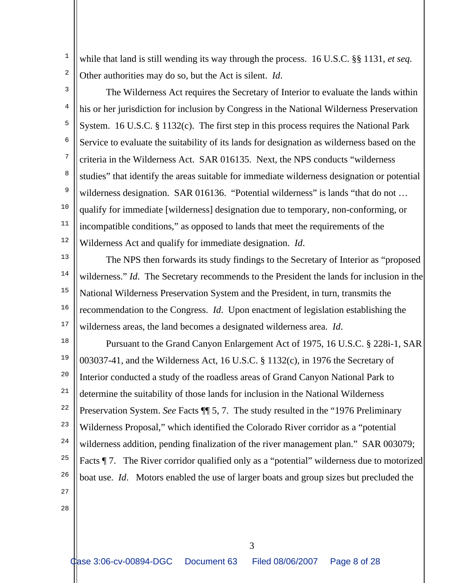while that land is still wending its way through the process. 16 U.S.C. §§ 1131, *et seq.* Other authorities may do so, but the Act is silent. *Id*.

2 3

1

4 5 6 7 8 9 10 11 12 The Wilderness Act requires the Secretary of Interior to evaluate the lands within his or her jurisdiction for inclusion by Congress in the National Wilderness Preservation System. 16 U.S.C. § 1132(c). The first step in this process requires the National Park Service to evaluate the suitability of its lands for designation as wilderness based on the criteria in the Wilderness Act. SAR 016135. Next, the NPS conducts "wilderness studies" that identify the areas suitable for immediate wilderness designation or potential wilderness designation. SAR 016136. "Potential wilderness" is lands "that do not ... qualify for immediate [wilderness] designation due to temporary, non-conforming, or incompatible conditions," as opposed to lands that meet the requirements of the Wilderness Act and qualify for immediate designation. *Id*.

13

14 15 16 17 The NPS then forwards its study findings to the Secretary of Interior as "proposed wilderness." *Id*. The Secretary recommends to the President the lands for inclusion in the National Wilderness Preservation System and the President, in turn, transmits the recommendation to the Congress. *Id*. Upon enactment of legislation establishing the wilderness areas, the land becomes a designated wilderness area. *Id*.

18 19 20 21 22 23 24 25 26 27 Pursuant to the Grand Canyon Enlargement Act of 1975, 16 U.S.C. § 228i-1, SAR 003037-41, and the Wilderness Act, 16 U.S.C. § 1132(c), in 1976 the Secretary of Interior conducted a study of the roadless areas of Grand Canyon National Park to determine the suitability of those lands for inclusion in the National Wilderness Preservation System. *See* Facts ¶¶ 5, 7. The study resulted in the "1976 Preliminary Wilderness Proposal," which identified the Colorado River corridor as a "potential wilderness addition, pending finalization of the river management plan." SAR 003079; Facts  $\P$  7. The River corridor qualified only as a "potential" wilderness due to motorized boat use. *Id*. Motors enabled the use of larger boats and group sizes but precluded the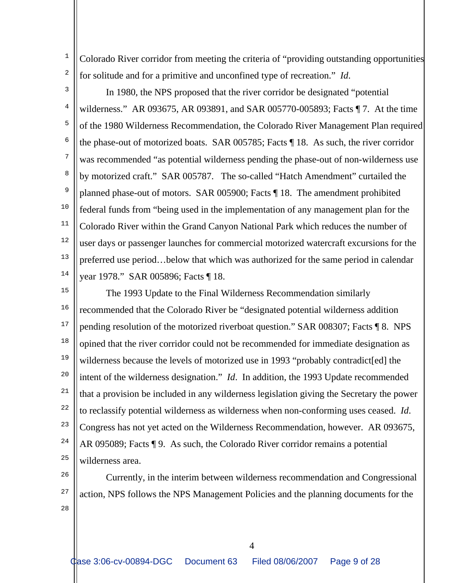Colorado River corridor from meeting the criteria of "providing outstanding opportunities for solitude and for a primitive and unconfined type of recreation." *Id*.

3 4

5

6

7

8

9

10

11

12

13

1

2

14 In 1980, the NPS proposed that the river corridor be designated "potential wilderness." AR 093675, AR 093891, and SAR 005770-005893; Facts ¶ 7. At the time of the 1980 Wilderness Recommendation, the Colorado River Management Plan required the phase-out of motorized boats. SAR 005785; Facts ¶ 18. As such, the river corridor was recommended "as potential wilderness pending the phase-out of non-wilderness use by motorized craft." SAR 005787.The so-called "Hatch Amendment" curtailed the planned phase-out of motors. SAR 005900; Facts ¶ 18. The amendment prohibited federal funds from "being used in the implementation of any management plan for the Colorado River within the Grand Canyon National Park which reduces the number of user days or passenger launches for commercial motorized watercraft excursions for the preferred use period…below that which was authorized for the same period in calendar year 1978." SAR 005896; Facts ¶ 18.

15 16 17 18 19 20 21 22 23 24 25 The 1993 Update to the Final Wilderness Recommendation similarly recommended that the Colorado River be "designated potential wilderness addition pending resolution of the motorized riverboat question." SAR 008307; Facts ¶ 8. NPS opined that the river corridor could not be recommended for immediate designation as wilderness because the levels of motorized use in 1993 "probably contradict [ed] the intent of the wilderness designation." *Id*. In addition, the 1993 Update recommended that a provision be included in any wilderness legislation giving the Secretary the power to reclassify potential wilderness as wilderness when non-conforming uses ceased. *Id*. Congress has not yet acted on the Wilderness Recommendation, however. AR 093675, AR 095089; Facts ¶ 9. As such, the Colorado River corridor remains a potential wilderness area.

26

27

28

 Currently, in the interim between wilderness recommendation and Congressional action, NPS follows the NPS Management Policies and the planning documents for the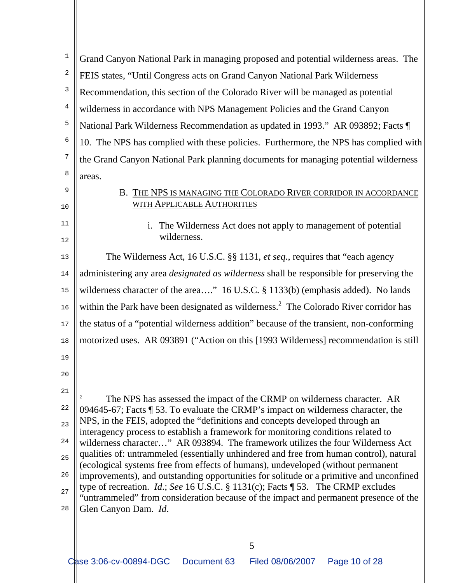1 2 3 4 5 6 7 8 9 10 11 12 13 14 15 16 17 18 19 20 21 22 23 24 25 26 27 28 Grand Canyon National Park in managing proposed and potential wilderness areas. The FEIS states, "Until Congress acts on Grand Canyon National Park Wilderness Recommendation, this section of the Colorado River will be managed as potential wilderness in accordance with NPS Management Policies and the Grand Canyon National Park Wilderness Recommendation as updated in 1993." AR 093892; Facts ¶ 10. The NPS has complied with these policies. Furthermore, the NPS has complied with the Grand Canyon National Park planning documents for managing potential wilderness areas. B. THE NPS IS MANAGING THE COLORADO RIVER CORRIDOR IN ACCORDANCE WITH APPLICABLE AUTHORITIES i. The Wilderness Act does not apply to management of potential wilderness. The Wilderness Act, 16 U.S.C. §§ 1131, *et seq.*, requires that "each agency administering any area *designated as wilderness* shall be responsible for preserving the wilderness character of the area...." 16 U.S.C. § 1133(b) (emphasis added). No lands within the Park have been designated as wilderness.<sup>2</sup> The Colorado River corridor has the status of a "potential wilderness addition" because of the transient, non-conforming motorized uses. AR 093891 ("Action on this [1993 Wilderness] recommendation is still ÷ 2 The NPS has assessed the impact of the CRMP on wilderness character. AR 094645-67; Facts ¶ 53. To evaluate the CRMP's impact on wilderness character, the NPS, in the FEIS, adopted the "definitions and concepts developed through an interagency process to establish a framework for monitoring conditions related to wilderness character…" AR 093894. The framework utilizes the four Wilderness Act qualities of: untrammeled (essentially unhindered and free from human control), natural (ecological systems free from effects of humans), undeveloped (without permanent improvements), and outstanding opportunities for solitude or a primitive and unconfined type of recreation. *Id*.; *See* 16 U.S.C. § 1131(c); Facts ¶ 53. The CRMP excludes "untrammeled" from consideration because of the impact and permanent presence of the Glen Canyon Dam. *Id*.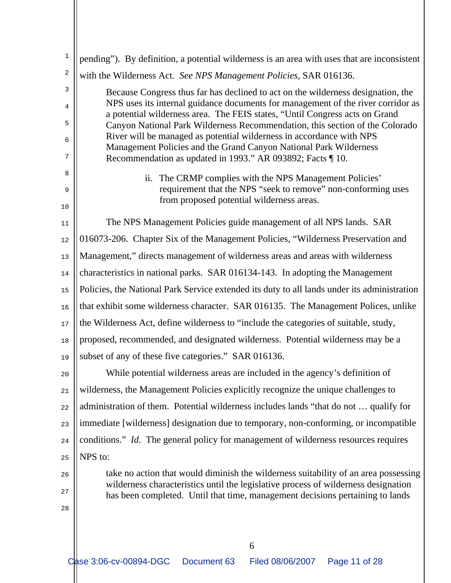| $\mathbf 1$ | pending"). By definition, a potential wilderness is an area with uses that are inconsistent                                                                         |
|-------------|---------------------------------------------------------------------------------------------------------------------------------------------------------------------|
| 2           | with the Wilderness Act. See NPS Management Policies, SAR 016136.                                                                                                   |
| 3           | Because Congress thus far has declined to act on the wilderness designation, the                                                                                    |
| 4           | NPS uses its internal guidance documents for management of the river corridor as<br>a potential wilderness area. The FEIS states, "Until Congress acts on Grand     |
| 5           | Canyon National Park Wilderness Recommendation, this section of the Colorado                                                                                        |
| 6           | River will be managed as potential wilderness in accordance with NPS<br>Management Policies and the Grand Canyon National Park Wilderness                           |
| 7           | Recommendation as updated in 1993." AR 093892; Facts ¶ 10.                                                                                                          |
| 8           | ii. The CRMP complies with the NPS Management Policies'                                                                                                             |
| 9           | requirement that the NPS "seek to remove" non-conforming uses                                                                                                       |
| 10          | from proposed potential wilderness areas.                                                                                                                           |
| 11          | The NPS Management Policies guide management of all NPS lands. SAR                                                                                                  |
| 12          | 016073-206. Chapter Six of the Management Policies, "Wilderness Preservation and                                                                                    |
| 13          | Management," directs management of wilderness areas and areas with wilderness                                                                                       |
| 14          | characteristics in national parks. SAR 016134-143. In adopting the Management                                                                                       |
| 15          | Policies, the National Park Service extended its duty to all lands under its administration                                                                         |
| 16          | that exhibit some wilderness character. SAR 016135. The Management Polices, unlike                                                                                  |
| 17          | the Wilderness Act, define wilderness to "include the categories of suitable, study,                                                                                |
| 18          | proposed, recommended, and designated wilderness. Potential wilderness may be a                                                                                     |
| 19          | subset of any of these five categories." SAR 016136.                                                                                                                |
| 20          | While potential wilderness areas are included in the agency's definition of                                                                                         |
| 21          | wilderness, the Management Policies explicitly recognize the unique challenges to                                                                                   |
| 22          | administration of them. Potential wilderness includes lands "that do not  qualify for                                                                               |
| 23          | immediate [wilderness] designation due to temporary, non-conforming, or incompatible                                                                                |
| 24          | conditions." Id. The general policy for management of wilderness resources requires                                                                                 |
| 25          | NPS to:                                                                                                                                                             |
| 26          | take no action that would diminish the wilderness suitability of an area possessing                                                                                 |
| 27          | wilderness characteristics until the legislative process of wilderness designation<br>has been completed. Until that time, management decisions pertaining to lands |
| 28          |                                                                                                                                                                     |
|             |                                                                                                                                                                     |
|             |                                                                                                                                                                     |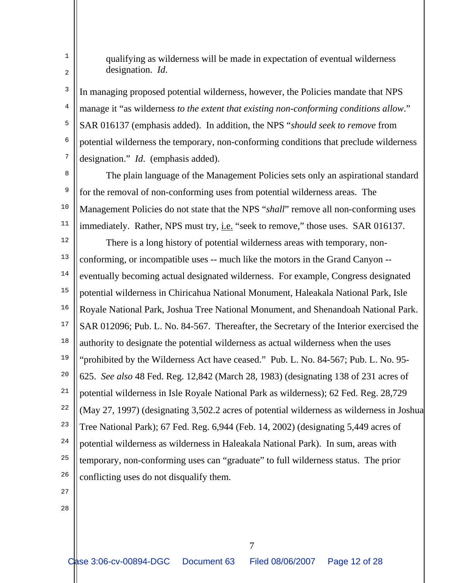qualifying as wilderness will be made in expectation of eventual wilderness designation. *Id*.

3 4 5 6 7 In managing proposed potential wilderness, however, the Policies mandate that NPS manage it "as wilderness *to the extent that existing non-conforming conditions allow*." SAR 016137 (emphasis added). In addition, the NPS "*should seek to remove* from potential wilderness the temporary, non-conforming conditions that preclude wilderness designation." *Id*. (emphasis added).

8

1

2

9 10 11 12 13 14 15 16 17 18 19  $20$ 21 22 23 24 25 The plain language of the Management Policies sets only an aspirational standard for the removal of non-conforming uses from potential wilderness areas. The Management Policies do not state that the NPS "*shall*" remove all non-conforming uses immediately. Rather, NPS must try, *i.e.* "seek to remove," those uses. SAR 016137. There is a long history of potential wilderness areas with temporary, nonconforming, or incompatible uses -- much like the motors in the Grand Canyon - eventually becoming actual designated wilderness. For example, Congress designated potential wilderness in Chiricahua National Monument, Haleakala National Park, Isle Royale National Park, Joshua Tree National Monument, and Shenandoah National Park. SAR 012096; Pub. L. No. 84-567. Thereafter, the Secretary of the Interior exercised the authority to designate the potential wilderness as actual wilderness when the uses "prohibited by the Wilderness Act have ceased." Pub. L. No. 84-567; Pub. L. No. 95- 625. *See also* 48 Fed. Reg. 12,842 (March 28, 1983) (designating 138 of 231 acres of potential wilderness in Isle Royale National Park as wilderness); 62 Fed. Reg. 28,729 (May 27, 1997) (designating 3,502.2 acres of potential wilderness as wilderness in Joshua Tree National Park); 67 Fed. Reg. 6,944 (Feb. 14, 2002) (designating 5,449 acres of potential wilderness as wilderness in Haleakala National Park). In sum, areas with temporary, non-conforming uses can "graduate" to full wilderness status. The prior

- 26
- 27
- 28

conflicting uses do not disqualify them.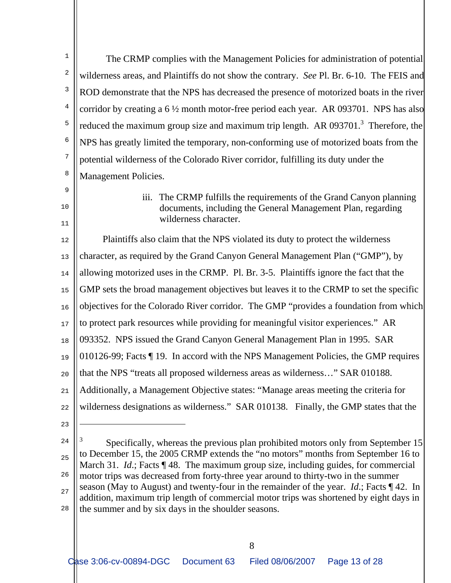1 2 3 4 5 6 7 8 The CRMP complies with the Management Policies for administration of potential wilderness areas, and Plaintiffs do not show the contrary. *See* Pl. Br. 6-10. The FEIS and ROD demonstrate that the NPS has decreased the presence of motorized boats in the river corridor by creating a 6 ½ month motor-free period each year. AR 093701. NPS has also reduced the maximum group size and maximum trip length. AR 093701.<sup>3</sup> Therefore, the NPS has greatly limited the temporary, non-conforming use of motorized boats from the potential wilderness of the Colorado River corridor, fulfilling its duty under the Management Policies.

9 10

11

iii. The CRMP fulfills the requirements of the Grand Canyon planning documents, including the General Management Plan, regarding wilderness character.

12 13 14 15 16 17 18 19 20 21 22 Plaintiffs also claim that the NPS violated its duty to protect the wilderness character, as required by the Grand Canyon General Management Plan ("GMP"), by allowing motorized uses in the CRMP. Pl. Br. 3-5. Plaintiffs ignore the fact that the GMP sets the broad management objectives but leaves it to the CRMP to set the specific objectives for the Colorado River corridor. The GMP "provides a foundation from which to protect park resources while providing for meaningful visitor experiences." AR 093352. NPS issued the Grand Canyon General Management Plan in 1995. SAR 010126-99; Facts ¶ 19. In accord with the NPS Management Policies, the GMP requires that the NPS "treats all proposed wilderness areas as wilderness…" SAR 010188. Additionally, a Management Objective states: "Manage areas meeting the criteria for wilderness designations as wilderness." SAR 010138. Finally, the GMP states that the

つつ

i

24

25 26 27 28 <sup>3</sup> Specifically, whereas the previous plan prohibited motors only from September 15 to December 15, the 2005 CRMP extends the "no motors" months from September 16 to March 31. *Id.*; Facts ¶ 48. The maximum group size, including guides, for commercial motor trips was decreased from forty-three year around to thirty-two in the summer season (May to August) and twenty-four in the remainder of the year. *Id*.; Facts ¶ 42. In addition, maximum trip length of commercial motor trips was shortened by eight days in the summer and by six days in the shoulder seasons.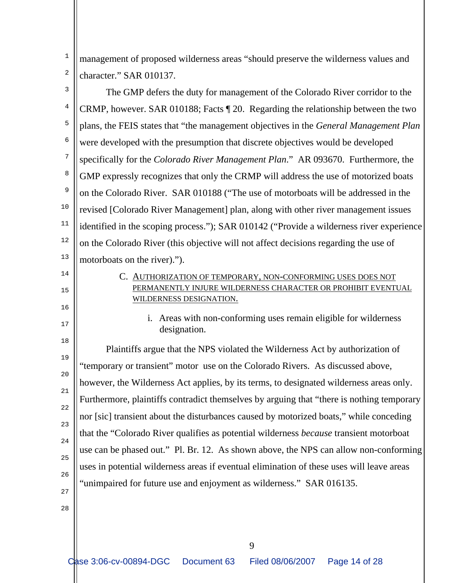1 2 management of proposed wilderness areas "should preserve the wilderness values and character." SAR 010137.

3 4 5 6 7 8 9 10 11 12 13 The GMP defers the duty for management of the Colorado River corridor to the CRMP, however. SAR 010188; Facts ¶ 20. Regarding the relationship between the two plans, the FEIS states that "the management objectives in the *General Management Plan* were developed with the presumption that discrete objectives would be developed specifically for the *Colorado River Management Plan*." AR 093670. Furthermore, the GMP expressly recognizes that only the CRMP will address the use of motorized boats on the Colorado River. SAR 010188 ("The use of motorboats will be addressed in the revised [Colorado River Management] plan, along with other river management issues identified in the scoping process."); SAR 010142 ("Provide a wilderness river experience on the Colorado River (this objective will not affect decisions regarding the use of motorboats on the river).").

- 14
- 15

16

17

18

28

C. AUTHORIZATION OF TEMPORARY, NON-CONFORMING USES DOES NOT PERMANENTLY INJURE WILDERNESS CHARACTER OR PROHIBIT EVENTUAL WILDERNESS DESIGNATION.

i. Areas with non-conforming uses remain eligible for wilderness designation.

19 20 21 22 つつ 24 25 26 27 Plaintiffs argue that the NPS violated the Wilderness Act by authorization of "temporary or transient" motor use on the Colorado Rivers. As discussed above, however, the Wilderness Act applies, by its terms, to designated wilderness areas only. Furthermore, plaintiffs contradict themselves by arguing that "there is nothing temporary nor [sic] transient about the disturbances caused by motorized boats," while conceding that the "Colorado River qualifies as potential wilderness *because* transient motorboat use can be phased out." Pl. Br. 12. As shown above, the NPS can allow non-conforming uses in potential wilderness areas if eventual elimination of these uses will leave areas "unimpaired for future use and enjoyment as wilderness." SAR 016135.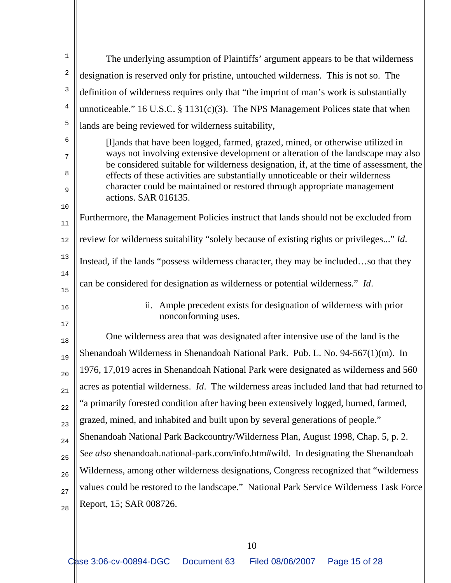| $\mathbf{1}$   | The underlying assumption of Plaintiffs' argument appears to be that wilderness                                                                                           |
|----------------|---------------------------------------------------------------------------------------------------------------------------------------------------------------------------|
| 2              | designation is reserved only for pristine, untouched wilderness. This is not so. The                                                                                      |
| 3              | definition of wilderness requires only that "the imprint of man's work is substantially                                                                                   |
| $\overline{4}$ | unnoticeable." 16 U.S.C. $\S$ 1131(c)(3). The NPS Management Polices state that when                                                                                      |
| 5              | lands are being reviewed for wilderness suitability,                                                                                                                      |
| 6              | [I] ands that have been logged, farmed, grazed, mined, or otherwise utilized in                                                                                           |
| 7              | ways not involving extensive development or alteration of the landscape may also<br>be considered suitable for wilderness designation, if, at the time of assessment, the |
| 8<br>9         | effects of these activities are substantially unnoticeable or their wilderness<br>character could be maintained or restored through appropriate management                |
| 10             | actions. SAR 016135.                                                                                                                                                      |
| $11\,$         | Furthermore, the Management Policies instruct that lands should not be excluded from                                                                                      |
| $12$           | review for wilderness suitability "solely because of existing rights or privileges" Id.                                                                                   |
| 13             | Instead, if the lands "possess wilderness character, they may be includedso that they                                                                                     |
| 14<br>15       | can be considered for designation as wilderness or potential wilderness." Id.                                                                                             |
| 16<br>17       | Ample precedent exists for designation of wilderness with prior<br>ii.<br>nonconforming uses.                                                                             |
| 18             | One wilderness area that was designated after intensive use of the land is the                                                                                            |
| 19             | Shenandoah Wilderness in Shenandoah National Park. Pub. L. No. 94-567(1)(m). In                                                                                           |
| 20             | 1976, 17,019 acres in Shenandoah National Park were designated as wilderness and 560                                                                                      |
| 21             | acres as potential wilderness. <i>Id</i> . The wilderness areas included land that had returned to                                                                        |
| 22             | "a primarily forested condition after having been extensively logged, burned, farmed,                                                                                     |
| 23             | grazed, mined, and inhabited and built upon by several generations of people."                                                                                            |
| 24             | Shenandoah National Park Backcountry/Wilderness Plan, August 1998, Chap. 5, p. 2.                                                                                         |
| 25             | See also shenandoah.national-park.com/info.htm#wild. In designating the Shenandoah                                                                                        |
| 26             | Wilderness, among other wilderness designations, Congress recognized that "wilderness"                                                                                    |
| 27             | values could be restored to the landscape." National Park Service Wilderness Task Force                                                                                   |
| 28             | Report, 15; SAR 008726.                                                                                                                                                   |
|                |                                                                                                                                                                           |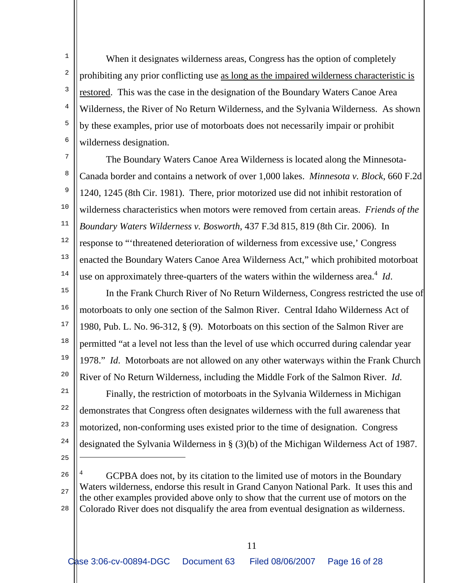1 2 3 4 5 6 When it designates wilderness areas, Congress has the option of completely prohibiting any prior conflicting use as long as the impaired wilderness characteristic is restored. This was the case in the designation of the Boundary Waters Canoe Area Wilderness, the River of No Return Wilderness, and the Sylvania Wilderness. As shown by these examples, prior use of motorboats does not necessarily impair or prohibit wilderness designation.

7 8 9 10 11 12 13 14 The Boundary Waters Canoe Area Wilderness is located along the Minnesota-Canada border and contains a network of over 1,000 lakes. *Minnesota v. Block*, 660 F.2d 1240, 1245 (8th Cir. 1981). There, prior motorized use did not inhibit restoration of wilderness characteristics when motors were removed from certain areas. *Friends of the Boundary Waters Wilderness v. Bosworth*, 437 F.3d 815, 819 (8th Cir. 2006). In response to "'threatened deterioration of wilderness from excessive use,' Congress enacted the Boundary Waters Canoe Area Wilderness Act," which prohibited motorboat use on approximately three-quarters of the waters within the wilderness area.<sup>4</sup> *Id*.

15 16 17 18 19 20 In the Frank Church River of No Return Wilderness, Congress restricted the use of motorboats to only one section of the Salmon River. Central Idaho Wilderness Act of 1980, Pub. L. No. 96-312, § (9). Motorboats on this section of the Salmon River are permitted "at a level not less than the level of use which occurred during calendar year 1978." *Id*. Motorboats are not allowed on any other waterways within the Frank Church River of No Return Wilderness, including the Middle Fork of the Salmon River. *Id*.

21 22 23 24 Finally, the restriction of motorboats in the Sylvania Wilderness in Michigan demonstrates that Congress often designates wilderness with the full awareness that motorized, non-conforming uses existed prior to the time of designation. Congress designated the Sylvania Wilderness in § (3)(b) of the Michigan Wilderness Act of 1987.

25

÷

26 27 28 4 GCPBA does not, by its citation to the limited use of motors in the Boundary Waters wilderness, endorse this result in Grand Canyon National Park. It uses this and the other examples provided above only to show that the current use of motors on the Colorado River does not disqualify the area from eventual designation as wilderness.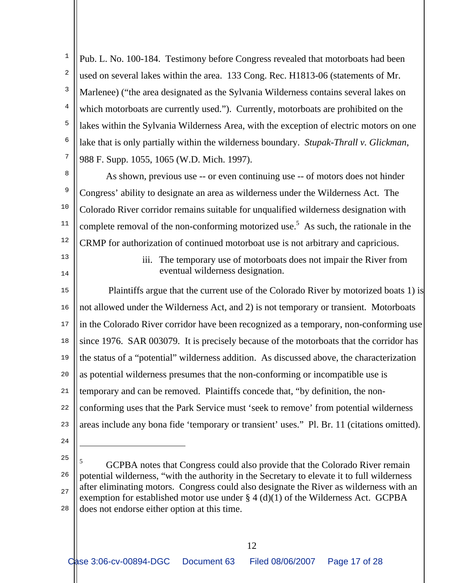1 2 3 4 5 6 7 Pub. L. No. 100-184. Testimony before Congress revealed that motorboats had been used on several lakes within the area. 133 Cong. Rec. H1813-06 (statements of Mr. Marlenee) ("the area designated as the Sylvania Wilderness contains several lakes on which motorboats are currently used."). Currently, motorboats are prohibited on the lakes within the Sylvania Wilderness Area, with the exception of electric motors on one lake that is only partially within the wilderness boundary. *Stupak-Thrall v. Glickman*, 988 F. Supp. 1055, 1065 (W.D. Mich. 1997).

8

9

10

11

12

 As shown, previous use -- or even continuing use -- of motors does not hinder Congress' ability to designate an area as wilderness under the Wilderness Act. The Colorado River corridor remains suitable for unqualified wilderness designation with complete removal of the non-conforming motorized use.<sup>5</sup> As such, the rationale in the CRMP for authorization of continued motorboat use is not arbitrary and capricious.

- 13
- 14

iii. The temporary use of motorboats does not impair the River from eventual wilderness designation.

15 16 17 18 19  $20$ 21  $22$ 23 Plaintiffs argue that the current use of the Colorado River by motorized boats 1) is not allowed under the Wilderness Act, and 2) is not temporary or transient. Motorboats in the Colorado River corridor have been recognized as a temporary, non-conforming use since 1976. SAR 003079. It is precisely because of the motorboats that the corridor has the status of a "potential" wilderness addition. As discussed above, the characterization as potential wilderness presumes that the non-conforming or incompatible use is temporary and can be removed. Plaintiffs concede that, "by definition, the nonconforming uses that the Park Service must 'seek to remove' from potential wilderness areas include any bona fide 'temporary or transient' uses." Pl. Br. 11 (citations omitted).

24 25

÷

<sup>26</sup> 27 28 5 GCPBA notes that Congress could also provide that the Colorado River remain potential wilderness, "with the authority in the Secretary to elevate it to full wilderness after eliminating motors. Congress could also designate the River as wilderness with an exemption for established motor use under  $\S 4$  (d)(1) of the Wilderness Act. GCPBA does not endorse either option at this time.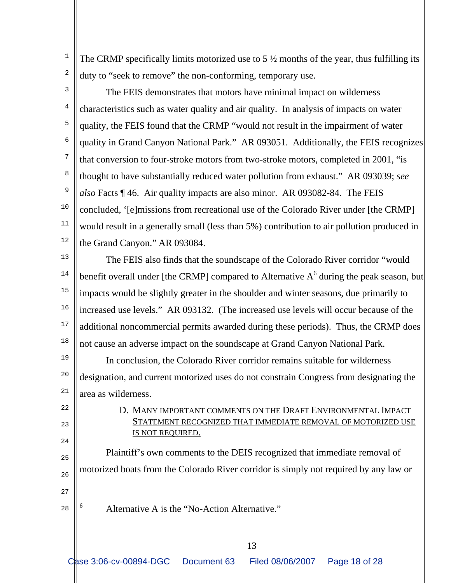The CRMP specifically limits motorized use to  $5\frac{1}{2}$  months of the year, thus fulfilling its duty to "seek to remove" the non-conforming, temporary use.

2 3

4

5

6

7

8

9

10

11

12

1

 The FEIS demonstrates that motors have minimal impact on wilderness characteristics such as water quality and air quality. In analysis of impacts on water quality, the FEIS found that the CRMP "would not result in the impairment of water quality in Grand Canyon National Park." AR 093051. Additionally, the FEIS recognizes that conversion to four-stroke motors from two-stroke motors, completed in 2001, "is thought to have substantially reduced water pollution from exhaust." AR 093039; *see also* Facts ¶ 46. Air quality impacts are also minor. AR 093082-84. The FEIS concluded, '[e]missions from recreational use of the Colorado River under [the CRMP] would result in a generally small (less than 5%) contribution to air pollution produced in the Grand Canyon." AR 093084.

13 14 15 16 17 18 The FEIS also finds that the soundscape of the Colorado River corridor "would benefit overall under [the CRMP] compared to Alternative  $A<sup>6</sup>$  during the peak season, but impacts would be slightly greater in the shoulder and winter seasons, due primarily to increased use levels." AR 093132. (The increased use levels will occur because of the additional noncommercial permits awarded during these periods). Thus, the CRMP does not cause an adverse impact on the soundscape at Grand Canyon National Park.

19 20 21 In conclusion, the Colorado River corridor remains suitable for wilderness designation, and current motorized uses do not constrain Congress from designating the area as wilderness.

> D. MANY IMPORTANT COMMENTS ON THE DRAFT ENVIRONMENTAL IMPACT STATEMENT RECOGNIZED THAT IMMEDIATE REMOVAL OF MOTORIZED USE IS NOT REQUIRED.

 Plaintiff's own comments to the DEIS recognized that immediate removal of motorized boats from the Colorado River corridor is simply not required by any law or

26 27

 $22$ 

つつ

24

 $25$ 

- 28
	- 6

i

Alternative A is the "No-Action Alternative."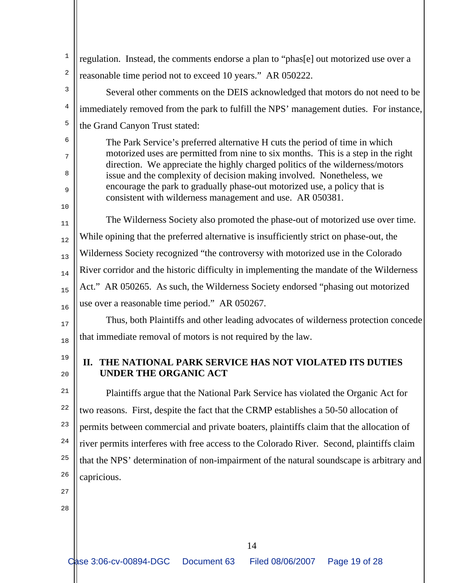| 1      | regulation. Instead, the comments endorse a plan to "phas[e] out motorized use over a                                                                              |  |
|--------|--------------------------------------------------------------------------------------------------------------------------------------------------------------------|--|
| 2      | reasonable time period not to exceed 10 years." AR 050222.                                                                                                         |  |
| 3      | Several other comments on the DEIS acknowledged that motors do not need to be                                                                                      |  |
| 4      | immediately removed from the park to fulfill the NPS' management duties. For instance,                                                                             |  |
| 5      | the Grand Canyon Trust stated:                                                                                                                                     |  |
| 6      | The Park Service's preferred alternative H cuts the period of time in which                                                                                        |  |
| 7      | motorized uses are permitted from nine to six months. This is a step in the right<br>direction. We appreciate the highly charged politics of the wilderness/motors |  |
| 8      | issue and the complexity of decision making involved. Nonetheless, we                                                                                              |  |
| 9      | encourage the park to gradually phase-out motorized use, a policy that is<br>consistent with wilderness management and use. AR 050381.                             |  |
| 10     |                                                                                                                                                                    |  |
| 11     | The Wilderness Society also promoted the phase-out of motorized use over time.                                                                                     |  |
| 12     | While opining that the preferred alternative is insufficiently strict on phase-out, the                                                                            |  |
| 13     | Wilderness Society recognized "the controversy with motorized use in the Colorado                                                                                  |  |
| 14     | River corridor and the historic difficulty in implementing the mandate of the Wilderness                                                                           |  |
| 15     | Act." AR 050265. As such, the Wilderness Society endorsed "phasing out motorized                                                                                   |  |
| 16     | use over a reasonable time period." AR 050267.                                                                                                                     |  |
| $17$   | Thus, both Plaintiffs and other leading advocates of wilderness protection concede                                                                                 |  |
| 18     | that immediate removal of motors is not required by the law.                                                                                                       |  |
| 19     | THE NATIONAL PARK SERVICE HAS NOT VIOLATED ITS DUTIES<br>П.                                                                                                        |  |
| $20\,$ | UNDER THE ORGANIC ACT                                                                                                                                              |  |
| 21     | Plaintiffs argue that the National Park Service has violated the Organic Act for                                                                                   |  |
| 22     | two reasons. First, despite the fact that the CRMP establishes a 50-50 allocation of                                                                               |  |
| 23     | permits between commercial and private boaters, plaintiffs claim that the allocation of                                                                            |  |
| 24     | river permits interferes with free access to the Colorado River. Second, plaintiffs claim                                                                          |  |
| 25     | that the NPS' determination of non-impairment of the natural soundscape is arbitrary and                                                                           |  |
| 26     | capricious.                                                                                                                                                        |  |
| 27     |                                                                                                                                                                    |  |
| 28     |                                                                                                                                                                    |  |
|        |                                                                                                                                                                    |  |
|        | 14                                                                                                                                                                 |  |
|        | Case 3:06-cv-00894-DGC<br>Document 63<br>Filed 08/06/2007<br>Page 19 of 28                                                                                         |  |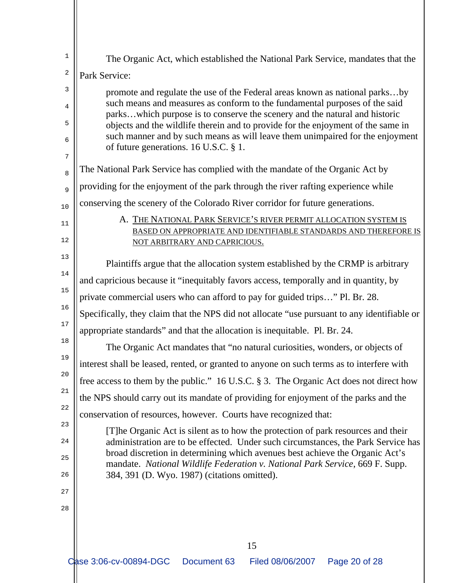| 1  | The Organic Act, which established the National Park Service, mandates that the                                                                                   |
|----|-------------------------------------------------------------------------------------------------------------------------------------------------------------------|
| 2  | Park Service:                                                                                                                                                     |
| 3  | promote and regulate the use of the Federal areas known as national parksby                                                                                       |
| 4  | such means and measures as conform to the fundamental purposes of the said<br>parkswhich purpose is to conserve the scenery and the natural and historic          |
| 5  | objects and the wildlife therein and to provide for the enjoyment of the same in                                                                                  |
| 6  | such manner and by such means as will leave them unimpaired for the enjoyment<br>of future generations. 16 U.S.C. § 1.                                            |
| 7  |                                                                                                                                                                   |
| 8  | The National Park Service has complied with the mandate of the Organic Act by                                                                                     |
| 9  | providing for the enjoyment of the park through the river rafting experience while                                                                                |
| 10 | conserving the scenery of the Colorado River corridor for future generations.                                                                                     |
| 11 | A. THE NATIONAL PARK SERVICE'S RIVER PERMIT ALLOCATION SYSTEM IS                                                                                                  |
| 12 | BASED ON APPROPRIATE AND IDENTIFIABLE STANDARDS AND THEREFORE IS<br>NOT ARBITRARY AND CAPRICIOUS.                                                                 |
| 13 |                                                                                                                                                                   |
| 14 | Plaintiffs argue that the allocation system established by the CRMP is arbitrary                                                                                  |
| 15 | and capricious because it "inequitably favors access, temporally and in quantity, by                                                                              |
| 16 | private commercial users who can afford to pay for guided trips" Pl. Br. 28.                                                                                      |
| 17 | Specifically, they claim that the NPS did not allocate "use pursuant to any identifiable or                                                                       |
| 18 | appropriate standards" and that the allocation is inequitable. Pl. Br. 24.                                                                                        |
| 19 | The Organic Act mandates that "no natural curiosities, wonders, or objects of                                                                                     |
| 20 | interest shall be leased, rented, or granted to anyone on such terms as to interfere with                                                                         |
| 21 | free access to them by the public." 16 U.S.C. § 3. The Organic Act does not direct how                                                                            |
|    | the NPS should carry out its mandate of providing for enjoyment of the parks and the                                                                              |
| 22 | conservation of resources, however. Courts have recognized that:                                                                                                  |
| 23 | [T] he Organic Act is silent as to how the protection of park resources and their                                                                                 |
| 24 | administration are to be effected. Under such circumstances, the Park Service has<br>broad discretion in determining which avenues best achieve the Organic Act's |
| 25 | mandate. National Wildlife Federation v. National Park Service, 669 F. Supp.                                                                                      |
| 26 | 384, 391 (D. Wyo. 1987) (citations omitted).                                                                                                                      |
| 27 |                                                                                                                                                                   |
| 28 |                                                                                                                                                                   |
|    |                                                                                                                                                                   |
|    | 15                                                                                                                                                                |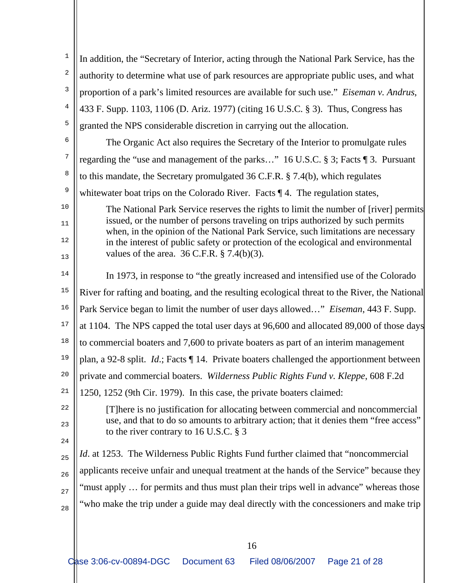| 1              | In addition, the "Secretary of Interior, acting through the National Park Service, has the                                                                          |
|----------------|---------------------------------------------------------------------------------------------------------------------------------------------------------------------|
| 2              | authority to determine what use of park resources are appropriate public uses, and what                                                                             |
| $\mathsf 3$    | proportion of a park's limited resources are available for such use." Eiseman v. Andrus,                                                                            |
| $\overline{4}$ | 433 F. Supp. 1103, 1106 (D. Ariz. 1977) (citing 16 U.S.C. § 3). Thus, Congress has                                                                                  |
| 5              | granted the NPS considerable discretion in carrying out the allocation.                                                                                             |
| 6              | The Organic Act also requires the Secretary of the Interior to promulgate rules                                                                                     |
| 7              | regarding the "use and management of the parks" 16 U.S.C. § 3; Facts ¶ 3. Pursuant                                                                                  |
| 8              | to this mandate, the Secretary promulgated 36 C.F.R. $\S$ 7.4(b), which regulates                                                                                   |
| 9              | whitewater boat trips on the Colorado River. Facts $\P$ 4. The regulation states,                                                                                   |
| $10$           | The National Park Service reserves the rights to limit the number of [river] permits                                                                                |
| 11             | issued, or the number of persons traveling on trips authorized by such permits<br>when, in the opinion of the National Park Service, such limitations are necessary |
| 12             | in the interest of public safety or protection of the ecological and environmental                                                                                  |
| 13             | values of the area. $36$ C.F.R. § 7.4(b)(3).                                                                                                                        |
| 14             | In 1973, in response to "the greatly increased and intensified use of the Colorado"                                                                                 |
| $15$           | River for rafting and boating, and the resulting ecological threat to the River, the National                                                                       |
| 16             | Park Service began to limit the number of user days allowed" <i>Eiseman</i> , 443 F. Supp.                                                                          |
| $17$           | at 1104. The NPS capped the total user days at 96,600 and allocated 89,000 of those days                                                                            |
| 18             | to commercial boaters and 7,600 to private boaters as part of an interim management                                                                                 |
| 19             | plan, a 92-8 split. $Id$ .; Facts $\P$ 14. Private boaters challenged the apportionment between                                                                     |
| 20             | private and commercial boaters. Wilderness Public Rights Fund v. Kleppe, 608 F.2d                                                                                   |
| 21             | 1250, 1252 (9th Cir. 1979). In this case, the private boaters claimed:                                                                                              |
| 22             | [T] here is no justification for allocating between commercial and noncommercial                                                                                    |
| 23             | use, and that to do so amounts to arbitrary action; that it denies them "free access"<br>to the river contrary to 16 U.S.C. $\S$ 3                                  |
| 24             |                                                                                                                                                                     |
| 25             | <i>Id.</i> at 1253. The Wilderness Public Rights Fund further claimed that "noncommercial                                                                           |
| 26             | applicants receive unfair and unequal treatment at the hands of the Service" because they                                                                           |
| 27             | "must apply  for permits and thus must plan their trips well in advance" whereas those                                                                              |
| 28             | "who make the trip under a guide may deal directly with the concessioners and make trip                                                                             |
|                |                                                                                                                                                                     |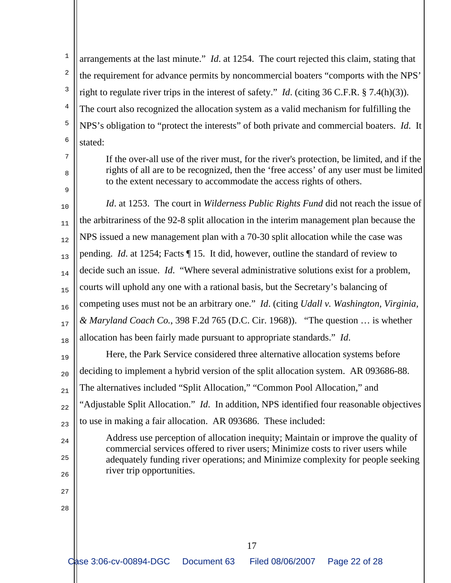1 2 3 4 5 6 arrangements at the last minute." *Id*. at 1254. The court rejected this claim, stating that the requirement for advance permits by noncommercial boaters "comports with the NPS' right to regulate river trips in the interest of safety." *Id*. (citing 36 C.F.R. § 7.4(h)(3)). The court also recognized the allocation system as a valid mechanism for fulfilling the NPS's obligation to "protect the interests" of both private and commercial boaters. *Id*. It stated:

7 8

9

24

25

26

27

28

If the over-all use of the river must, for the river's protection, be limited, and if the rights of all are to be recognized, then the 'free access' of any user must be limited to the extent necessary to accommodate the access rights of others.

10 11 12 13 14 15 16 17 18 *Id*. at 1253. The court in *Wilderness Public Rights Fund* did not reach the issue of the arbitrariness of the 92-8 split allocation in the interim management plan because the NPS issued a new management plan with a 70-30 split allocation while the case was pending. *Id*. at 1254; Facts ¶ 15. It did, however, outline the standard of review to decide such an issue. *Id*. "Where several administrative solutions exist for a problem, courts will uphold any one with a rational basis, but the Secretary's balancing of competing uses must not be an arbitrary one." *Id*. (citing *Udall v. Washington, Virginia, & Maryland Coach Co.*, 398 F.2d 765 (D.C. Cir. 1968)). "The question … is whether allocation has been fairly made pursuant to appropriate standards." *Id*.

19 20 21 22 23 Here, the Park Service considered three alternative allocation systems before deciding to implement a hybrid version of the split allocation system. AR 093686-88. The alternatives included "Split Allocation," "Common Pool Allocation," and "Adjustable Split Allocation." *Id*. In addition, NPS identified four reasonable objectives to use in making a fair allocation. AR 093686. These included:

Address use perception of allocation inequity; Maintain or improve the quality of commercial services offered to river users; Minimize costs to river users while adequately funding river operations; and Minimize complexity for people seeking river trip opportunities.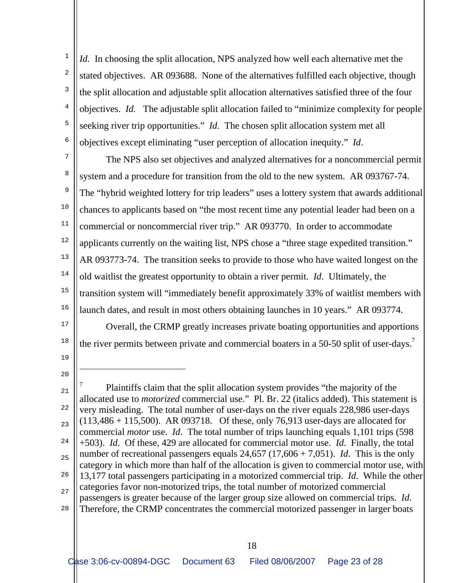1 2 3 4 5 6 *Id*. In choosing the split allocation, NPS analyzed how well each alternative met the stated objectives. AR 093688. None of the alternatives fulfilled each objective, though the split allocation and adjustable split allocation alternatives satisfied three of the four objectives. *Id.* The adjustable split allocation failed to "minimize complexity for people seeking river trip opportunities." *Id*. The chosen split allocation system met all objectives except eliminating "user perception of allocation inequity." *Id*.

7 8 9 10 11 12 13 14 15 16 The NPS also set objectives and analyzed alternatives for a noncommercial permit system and a procedure for transition from the old to the new system. AR 093767-74. The "hybrid weighted lottery for trip leaders" uses a lottery system that awards additional chances to applicants based on "the most recent time any potential leader had been on a commercial or noncommercial river trip." AR 093770. In order to accommodate applicants currently on the waiting list, NPS chose a "three stage expedited transition." AR 093773-74. The transition seeks to provide to those who have waited longest on the old waitlist the greatest opportunity to obtain a river permit. *Id*. Ultimately, the transition system will "immediately benefit approximately 33% of waitlist members with launch dates, and result in most others obtaining launches in 10 years." AR 093774.

17 18 Overall, the CRMP greatly increases private boating opportunities and apportions the river permits between private and commercial boaters in a 50-50 split of user-days.<sup>7</sup>

19

÷

20

21 22 23 24 25 26 27 28 7 Plaintiffs claim that the split allocation system provides "the majority of the allocated use to *motorized* commercial use." Pl. Br. 22 (italics added). This statement is very misleading. The total number of user-days on the river equals 228,986 user-days (113,486 + 115,500). AR 093718. Of these, only 76,913 user-days are allocated for commercial *motor* use. *Id*. The total number of trips launching equals 1,101 trips (598 +503). *Id*. Of these, 429 are allocated for commercial motor use. *Id*. Finally, the total number of recreational passengers equals 24,657 (17,606 + 7,051). *Id*. This is the only category in which more than half of the allocation is given to commercial motor use, with 13,177 total passengers participating in a motorized commercial trip. *Id*. While the other categories favor non-motorized trips, the total number of motorized commercial passengers is greater because of the larger group size allowed on commercial trips. *Id*. Therefore, the CRMP concentrates the commercial motorized passenger in larger boats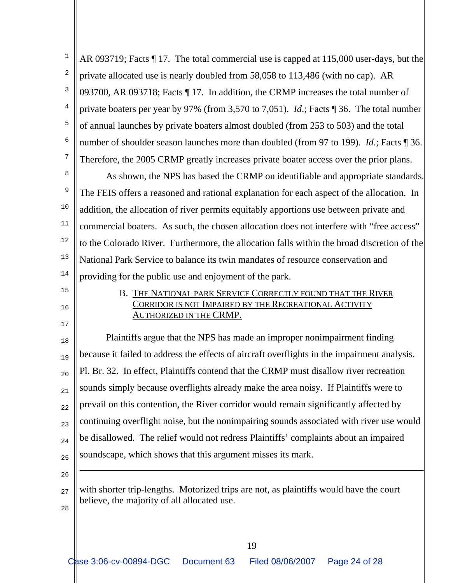1 2 3 4 5 6 7 AR 093719; Facts ¶ 17. The total commercial use is capped at 115,000 user-days, but the private allocated use is nearly doubled from 58,058 to 113,486 (with no cap). AR 093700, AR 093718; Facts ¶ 17. In addition, the CRMP increases the total number of private boaters per year by 97% (from 3,570 to 7,051). *Id*.; Facts ¶ 36. The total number of annual launches by private boaters almost doubled (from 253 to 503) and the total number of shoulder season launches more than doubled (from 97 to 199). *Id*.; Facts ¶ 36. Therefore, the 2005 CRMP greatly increases private boater access over the prior plans.

8 9 10 11 12 13 14 As shown, the NPS has based the CRMP on identifiable and appropriate standards. The FEIS offers a reasoned and rational explanation for each aspect of the allocation. In addition, the allocation of river permits equitably apportions use between private and commercial boaters. As such, the chosen allocation does not interfere with "free access" to the Colorado River. Furthermore, the allocation falls within the broad discretion of the National Park Service to balance its twin mandates of resource conservation and providing for the public use and enjoyment of the park.

15 16

17

### B. THE NATIONAL PARK SERVICE CORRECTLY FOUND THAT THE RIVER CORRIDOR IS NOT IMPAIRED BY THE RECREATIONAL ACTIVITY AUTHORIZED IN THE CRMP.

18 19 20 21  $22$ 23 24 25 Plaintiffs argue that the NPS has made an improper nonimpairment finding because it failed to address the effects of aircraft overflights in the impairment analysis. Pl. Br. 32. In effect, Plaintiffs contend that the CRMP must disallow river recreation sounds simply because overflights already make the area noisy. If Plaintiffs were to prevail on this contention, the River corridor would remain significantly affected by continuing overflight noise, but the nonimpairing sounds associated with river use would be disallowed. The relief would not redress Plaintiffs' complaints about an impaired soundscape, which shows that this argument misses its mark.

26

÷

27 28 with shorter trip-lengths. Motorized trips are not, as plaintiffs would have the court believe, the majority of all allocated use.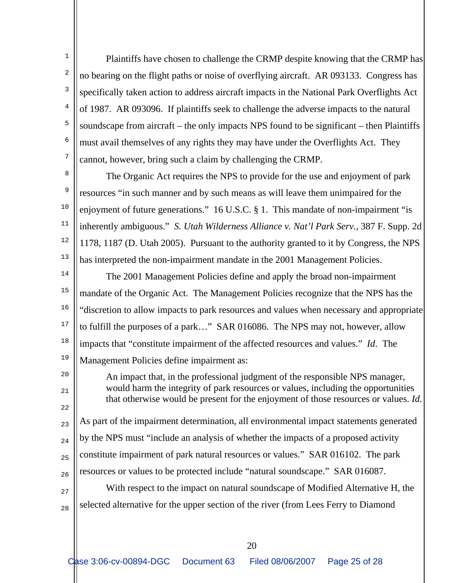Plaintiffs have chosen to challenge the CRMP despite knowing that the CRMP has no bearing on the flight paths or noise of overflying aircraft. AR 093133. Congress has specifically taken action to address aircraft impacts in the National Park Overflights Act of 1987. AR 093096. If plaintiffs seek to challenge the adverse impacts to the natural soundscape from aircraft – the only impacts NPS found to be significant – then Plaintiffs must avail themselves of any rights they may have under the Overflights Act. They cannot, however, bring such a claim by challenging the CRMP.

8 9 10 11 12 13 The Organic Act requires the NPS to provide for the use and enjoyment of park resources "in such manner and by such means as will leave them unimpaired for the enjoyment of future generations." 16 U.S.C. § 1. This mandate of non-impairment "is inherently ambiguous." *S. Utah Wilderness Alliance v. Nat'l Park Serv.*, 387 F. Supp. 2d 1178, 1187 (D. Utah 2005). Pursuant to the authority granted to it by Congress, the NPS has interpreted the non-impairment mandate in the 2001 Management Policies.

14 15 16 17 18 19 The 2001 Management Policies define and apply the broad non-impairment mandate of the Organic Act. The Management Policies recognize that the NPS has the "discretion to allow impacts to park resources and values when necessary and appropriate to fulfill the purposes of a park…" SAR 016086. The NPS may not, however, allow impacts that "constitute impairment of the affected resources and values." *Id*. The Management Policies define impairment as:

> An impact that, in the professional judgment of the responsible NPS manager, would harm the integrity of park resources or values, including the opportunities that otherwise would be present for the enjoyment of those resources or values. *Id*.

20

1

2

3

4

5

6

7

21

 $22$ 23 24 25 26 As part of the impairment determination, all environmental impact statements generated by the NPS must "include an analysis of whether the impacts of a proposed activity constitute impairment of park natural resources or values." SAR 016102. The park resources or values to be protected include "natural soundscape." SAR 016087.

27 28 With respect to the impact on natural soundscape of Modified Alternative H, the selected alternative for the upper section of the river (from Lees Ferry to Diamond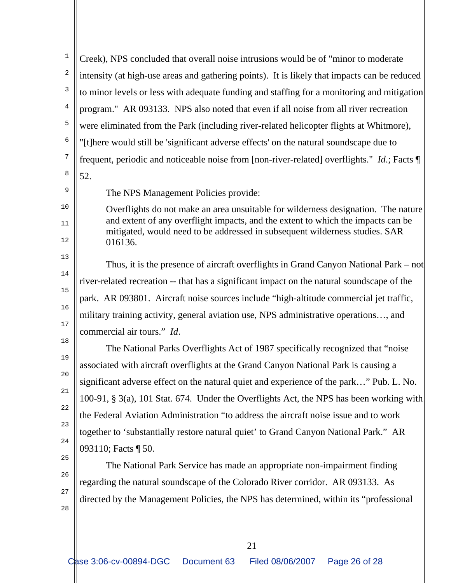1 2 3 4 5 6 7 8 Creek), NPS concluded that overall noise intrusions would be of "minor to moderate intensity (at high-use areas and gathering points). It is likely that impacts can be reduced to minor levels or less with adequate funding and staffing for a monitoring and mitigation program." AR 093133. NPS also noted that even if all noise from all river recreation were eliminated from the Park (including river-related helicopter flights at Whitmore), "[t]here would still be 'significant adverse effects' on the natural soundscape due to frequent, periodic and noticeable noise from [non-river-related] overflights." *Id*.; Facts ¶ 52.

9

10

11

12

13

14

15

16

17

18

19

20

21

22

23

24

25

26

27

28

The NPS Management Policies provide:

Overflights do not make an area unsuitable for wilderness designation. The nature and extent of any overflight impacts, and the extent to which the impacts can be mitigated, would need to be addressed in subsequent wilderness studies. SAR 016136.

 Thus, it is the presence of aircraft overflights in Grand Canyon National Park – not river-related recreation -- that has a significant impact on the natural soundscape of the park. AR 093801. Aircraft noise sources include "high-altitude commercial jet traffic, military training activity, general aviation use, NPS administrative operations…, and commercial air tours." *Id*.

 The National Parks Overflights Act of 1987 specifically recognized that "noise associated with aircraft overflights at the Grand Canyon National Park is causing a significant adverse effect on the natural quiet and experience of the park…" Pub. L. No. 100-91, § 3(a), 101 Stat. 674. Under the Overflights Act, the NPS has been working with the Federal Aviation Administration "to address the aircraft noise issue and to work together to 'substantially restore natural quiet' to Grand Canyon National Park." AR 093110; Facts ¶ 50.

 The National Park Service has made an appropriate non-impairment finding regarding the natural soundscape of the Colorado River corridor. AR 093133. As directed by the Management Policies, the NPS has determined, within its "professional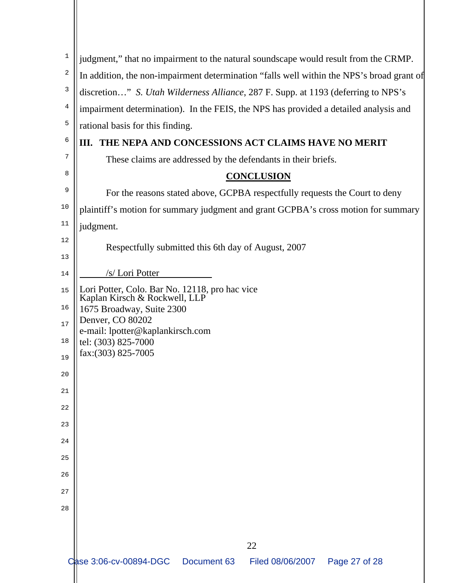| 1  |                                                                                           |
|----|-------------------------------------------------------------------------------------------|
|    | judgment," that no impairment to the natural soundscape would result from the CRMP.       |
| 2  | In addition, the non-impairment determination "falls well within the NPS's broad grant of |
| 3  | discretion" S. Utah Wilderness Alliance, 287 F. Supp. at 1193 (deferring to NPS's         |
| 4  | impairment determination). In the FEIS, the NPS has provided a detailed analysis and      |
| 5  | rational basis for this finding.                                                          |
| 6  | III. THE NEPA AND CONCESSIONS ACT CLAIMS HAVE NO MERIT                                    |
| 7  | These claims are addressed by the defendants in their briefs.                             |
| 8  | <b>CONCLUSION</b>                                                                         |
| 9  | For the reasons stated above, GCPBA respectfully requests the Court to deny               |
| 10 | plaintiff's motion for summary judgment and grant GCPBA's cross motion for summary        |
| 11 | judgment.                                                                                 |
| 12 | Respectfully submitted this 6th day of August, 2007                                       |
| 13 |                                                                                           |
| 14 | /s/ Lori Potter                                                                           |
| 15 | Lori Potter, Colo. Bar No. 12118, pro hac vice<br>Kaplan Kirsch & Rockwell, LLP           |
| 16 | 1675 Broadway, Suite 2300                                                                 |
| 17 | Denver, CO 80202                                                                          |
| 18 | e-mail: lpotter@kaplankirsch.com<br>tel: (303) 825-7000                                   |
| 19 | fax: (303) 825-7005                                                                       |
| 20 |                                                                                           |
| 21 |                                                                                           |
| 22 |                                                                                           |
| 23 |                                                                                           |
| 24 |                                                                                           |
| 25 |                                                                                           |
| 26 |                                                                                           |
| 27 |                                                                                           |
| 28 |                                                                                           |
|    |                                                                                           |
|    |                                                                                           |
|    | 22<br>Case 3:06-cv-00894-DGC<br>Document 63<br>Filed 08/06/2007  Page 27 of 28            |
|    |                                                                                           |
|    |                                                                                           |